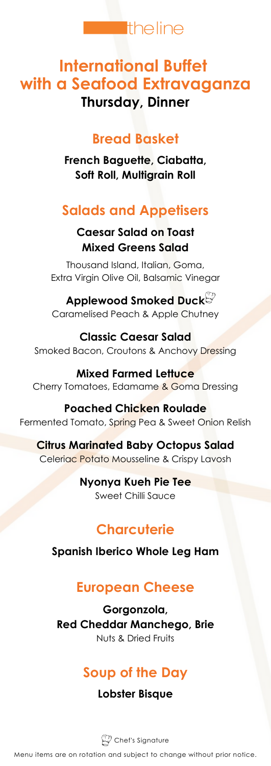

# **International Buffet with a Seafood Extravaganza Thursday, Dinner**

#### **Bread Basket**

**French Baguette, Ciabatta, Soft Roll, Multigrain Roll**

# **Salads and Appetisers**

#### **Caesar Salad on Toast Mixed Greens Salad**

Thousand Island, Italian, Goma, Extra Virgin Olive Oil, Balsamic Vinegar

**Applewood Smoked Duck** Caramelised Peach & Apple Chutney

**Classic Caesar Salad** Smoked Bacon, Croutons & Anchovy Dressing

**Mixed Farmed Lettuce** Cherry Tomatoes, Edamame & Goma Dressing

**Poached Chicken Roulade** Fermented Tomato, Spring Pea & Sweet Onion Relish

**Citrus Marinated Baby Octopus Salad** Celeriac Potato Mousseline & Crispy Lavosh

> **Nyonya Kueh Pie Tee** Sweet Chilli Sauce

## **Charcuterie**

**Spanish Iberico Whole Leg Ham**

#### **European Cheese**

**Gorgonzola, Red Cheddar Manchego, Brie** Nuts & Dried Fruits

# **Soup of the Day**

**Lobster Bisque**

 $\mathbb{Z}$  Chef's Signature

Menu items are on rotation and subject to change without prior notice.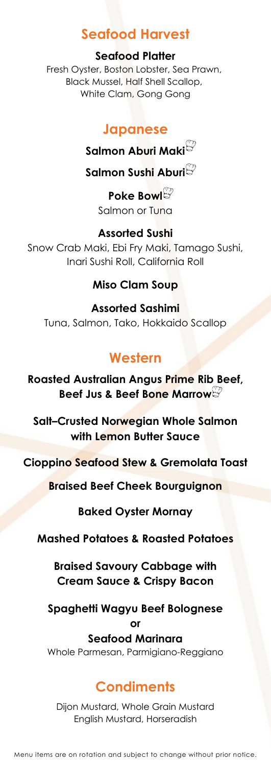#### **Seafood Harvest**

#### **Seafood Platter**

Fresh Oyster, Boston Lobster, Sea Prawn, Black Mussel, Half Shell Scallop, White Clam, Gong Gong

#### **Japanese**

**Salmon Aburi Maki**

**Salmon Sushi Aburi**

**Poke Bowl** Salmon or Tuna

# **Assorted Sushi**

Snow Crab Maki, Ebi Fry Maki, Tamago Sushi, Inari Sushi Roll, California Roll

#### **Miso Clam Soup**

**Assorted Sashimi** Tuna, Salmon, Tako, Hokkaido Scallop

## **Western**

**Roasted Australian Angus Prime Rib Beef, Beef Jus & Beef Bone Marrow**

**Salt–Crusted Norwegian Whole Salmon with Lemon Butter Sauce**

**Cioppino Seafood Stew & Gremolata Toast**

**Braised Beef Cheek Bourguignon**

**Baked Oyster Mornay**

#### **Mashed Potatoes & Roasted Potatoes**

**Braised Savoury Cabbage with Cream Sauce & Crispy Bacon**

#### **Spaghetti Wagyu Beef Bolognese or**

**Seafood Marinara** Whole Parmesan, Parmigiano-Reggiano

## **Condiments**

Dijon Mustard, Whole Grain Mustard English Mustard, Horseradish

Menu items are on rotation and subject to change without prior notice.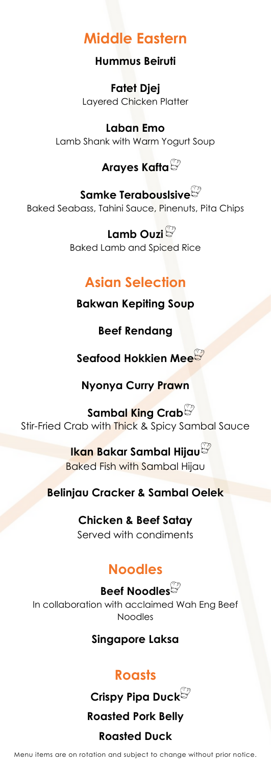# **Middle Eastern**

#### **Hummus Beiruti**

**Fatet Djej** Layered Chicken Platter

**Laban Emo** Lamb Shank with Warm Yogurt Soup

## **Arayes Kafta**

**Samke Terabouslsive** Baked Seabass, Tahini Sauce, Pinenuts, Pita Chips

> **Lamb Ouzi** Baked Lamb and Spiced Rice

## **Asian Selection**

**Bakwan Kepiting Soup**

**Beef Rendang**

**Seafood Hokkien Mee**

**Nyonya Curry Prawn**

**Sambal King Crab** Stir-Fried Crab with Thick & Spicy Sambal Sauce

> **Ikan Bakar Sambal Hijau** Baked Fish with Sambal Hijau

**Belinjau Cracker & Sambal Oelek**

**Chicken & Beef Satay** Served with condiments

# **Noodles**

**Beef Noodles** In collaboration with acclaimed Wah Eng Beef Noodles

**Singapore Laksa**

# **Roasts**

**Crispy Pipa Duck Roasted Pork Belly Roasted Duck**

Menu items are on rotation and subject to change without prior notice.